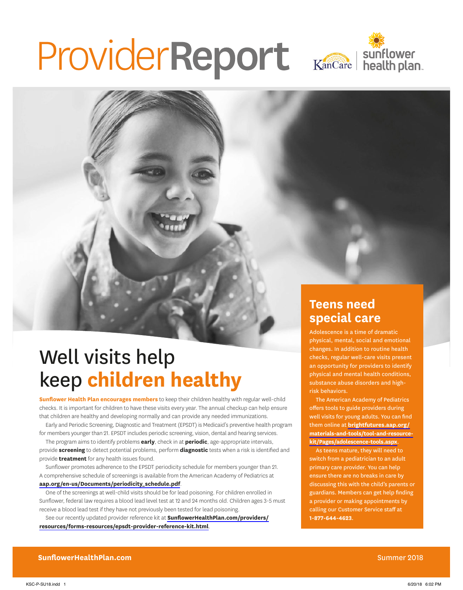# ProviderReport Kancare | sunflower



# Well visits help keep **children healthy**

**Sunflower Health Plan encourages members** to keep their children healthy with regular well-child checks. It is important for children to have these visits every year. The annual checkup can help ensure that children are healthy and developing normally and can provide any needed immunizations.

Early and Periodic Screening, Diagnostic and Treatment (EPSDT) is Medicaid's preventive health program for members younger than 21. EPSDT includes periodic screening, vision, dental and hearing services.

The program aims to identify problems **early**, check in at **periodic**, age-appropriate intervals, provide **screening** to detect potential problems, perform **diagnostic** tests when a risk is identified and provide **treatment** for any health issues found.

Sunflower promotes adherence to the EPSDT periodicity schedule for members younger than 21. A comprehensive schedule of screenings is available from the American Academy of Pediatrics at **[aap.org/en-us/Documents/periodicity\\_schedule.pdf](https://www.aap.org/en-us/Documents/periodicity_schedule.pdf)**.

One of the screenings at well-child visits should be for lead poisoning. For children enrolled in Sunflower, federal law requires a blood lead level test at 12 and 24 months old. Children ages 3-5 must receive a blood lead test if they have not previously been tested for lead poisoning.

See our recently updated provider reference kit at **[SunflowerHealthPlan.com/providers/](https://www.sunflowerhealthplan.com/providers/resources/forms-resources/epsdt-provider-reference-kit.html) [resources/forms-resources/epsdt-provider-reference-kit.html](https://www.sunflowerhealthplan.com/providers/resources/forms-resources/epsdt-provider-reference-kit.html)**.

## **Teens need special care**

Adolescence is a time of dramatic physical, mental, social and emotional changes. In addition to routine health checks, regular well-care visits present an opportunity for providers to identify physical and mental health conditions, substance abuse disorders and highrisk behaviors.

The American Academy of Pediatrics offers tools to guide providers during well visits for young adults. You can find them online at **[brightfutures.aap.org/](https://brightfutures.aap.org/materials-and-tools/tool-and-resource-kit/Pages/adolescence-tools.aspx) [materials-and-tools/tool-and-resource](https://brightfutures.aap.org/materials-and-tools/tool-and-resource-kit/Pages/adolescence-tools.aspx)[kit/Pages/adolescence-tools.aspx](https://brightfutures.aap.org/materials-and-tools/tool-and-resource-kit/Pages/adolescence-tools.aspx)**.

As teens mature, they will need to switch from a pediatrician to an adult primary care provider. You can help ensure there are no breaks in care by discussing this with the child's parents or guardians. Members can get help finding a provider or making appointments by calling our Customer Service staff at **1-877-644-4623**.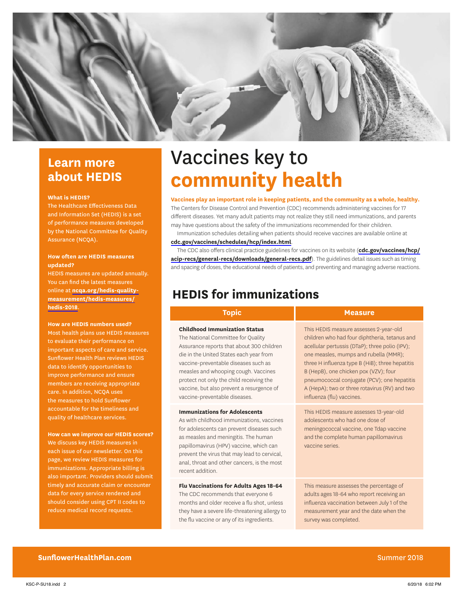

### **Learn more about HEDIS**

#### **What is HEDIS?**

 The Healthcare Effectiveness Data and Information Set (HEDIS) is a set of performance measures developed by the National Committee for Quality Assurance (NCQA).

#### **How often are HEDIS measures updated?**

HEDIS measures are updated annually. You can find the latest measures online at **[ncqa.org/hedis-quality](http://www.ncqa.org/hedis-quality-measurement/hedis-measures/hedis-2018)[measurement/hedis-measures/](http://www.ncqa.org/hedis-quality-measurement/hedis-measures/hedis-2018) [hedis-2018](http://www.ncqa.org/hedis-quality-measurement/hedis-measures/hedis-2018)**.

#### **How are HEDIS numbers used?**

 Most health plans use HEDIS measures to evaluate their performance on important aspects of care and service. Sunflower Health Plan reviews HEDIS data to identify opportunities to improve performance and ensure members are receiving appropriate care. In addition, NCQA uses the measures to hold Sunflower accountable for the timeliness and quality of healthcare services.

#### **How can we improve our HEDIS scores?**

We discuss key HEDIS measures in each issue of our newsletter. On this page, we review HEDIS measures for immunizations. Appropriate billing is also important. Providers should submit timely and accurate claim or encounter data for every service rendered and should consider using CPT II codes to reduce medical record requests.

# Vaccines key to **community health**

#### **Vaccines play an important role in keeping patients, and the community as a whole, healthy.**

The Centers for Disease Control and Prevention (CDC) recommends administering vaccines for 17 different diseases. Yet many adult patients may not realize they still need immunizations, and parents may have questions about the safety of the immunizations recommended for their children.

Immunization schedules detailing when patients should receive vaccines are available online at **[cdc.gov/vaccines/schedules/hcp/index.html](https://www.cdc.gov/vaccines/schedules/hcp/index.html)**.

The CDC also offers clinical practice guidelines for vaccines on its website (**[cdc.gov/vaccines/hcp/](https://www.cdc.gov/vaccines/hcp/acip-recs/general-recs/downloads/general-recs.pdf) [acip-recs/general-recs/downloads/general-recs.pdf](https://www.cdc.gov/vaccines/hcp/acip-recs/general-recs/downloads/general-recs.pdf)**). The guidelines detail issues such as timing and spacing of doses, the educational needs of patients, and preventing and managing adverse reactions.

### **HEDIS for immunizations**

#### **Childhood Immunization Status**

The National Committee for Quality Assurance reports that about 300 children die in the United States each year from vaccine-preventable diseases such as measles and whooping cough. Vaccines protect not only the child receiving the vaccine, but also prevent a resurgence of vaccine-preventable diseases.

#### **Immunizations for Adolescents**

As with childhood immunizations, vaccines for adolescents can prevent diseases such as measles and meningitis. The human papillomavirus (HPV) vaccine, which can prevent the virus that may lead to cervical, anal, throat and other cancers, is the most recent addition.

#### **Flu Vaccinations for Adults Ages 18-64**

The CDC recommends that everyone 6 months and older receive a flu shot, unless they have a severe life-threatening allergy to the flu vaccine or any of its ingredients.

#### **Topic Measure**

This HEDIS measure assesses 2-year-old children who had four diphtheria, tetanus and acellular pertussis (DTaP); three polio (IPV); one measles, mumps and rubella (MMR); three H influenza type B (HiB); three hepatitis B (HepB), one chicken pox (VZV); four pneumococcal conjugate (PCV); one hepatitis A (HepA); two or three rotavirus (RV) and two influenza (flu) vaccines.

This HEDIS measure assesses 13-year-old adolescents who had one dose of meningococcal vaccine, one Tdap vaccine and the complete human papillomavirus vaccine series.

This measure assesses the percentage of adults ages 18-64 who report receiving an influenza vaccination between July 1 of the measurement year and the date when the survey was completed.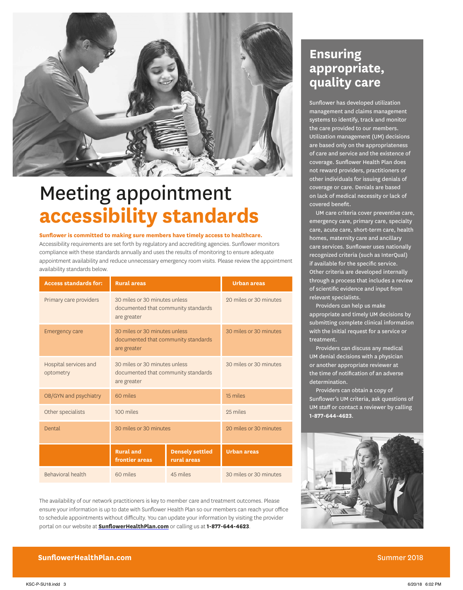

# Meeting appointment **accessibility standards**

#### **Sunflower is committed to making sure members have timely access to healthcare.**

Accessibility requirements are set forth by regulatory and accrediting agencies. Sunflower monitors compliance with these standards annually and uses the results of monitoring to ensure adequate appointment availability and reduce unnecessary emergency room visits. Please review the appointment availability standards below.

| <b>Access standards for:</b>       | <b>Rural areas</b>                                                                  |                                       | <b>Urban areas</b>     |
|------------------------------------|-------------------------------------------------------------------------------------|---------------------------------------|------------------------|
| Primary care providers             | 30 miles or 30 minutes unless<br>documented that community standards<br>are greater |                                       | 20 miles or 30 minutes |
| Emergency care                     | 30 miles or 30 minutes unless<br>documented that community standards<br>are greater |                                       | 30 miles or 30 minutes |
| Hospital services and<br>optometry | 30 miles or 30 minutes unless<br>documented that community standards<br>are greater |                                       | 30 miles or 30 minutes |
| OB/GYN and psychiatry              | 60 miles                                                                            |                                       | 15 miles               |
| Other specialists                  | 100 miles                                                                           |                                       | 25 miles               |
| Dental                             | 30 miles or 30 minutes                                                              |                                       | 20 miles or 30 minutes |
|                                    | <b>Rural</b> and<br>frontier areas                                                  | <b>Densely settled</b><br>rural areas | <b>Urban areas</b>     |
| Behavioral health                  | 60 miles                                                                            | 45 miles                              | 30 miles or 30 minutes |

The availability of our network practitioners is key to member care and treatment outcomes. Please ensure your information is up to date with Sunflower Health Plan so our members can reach your office to schedule appointments without difficulty. You can update your information by visiting the provider portal on our website at **[SunflowerHealthPlan.com](https://www.sunflowerhealthplan.com/)** or calling us at **1-877-644-4623**.

### **Ensuring appropriate, quality care**

Sunflower has developed utilization management and claims management systems to identify, track and monitor the care provided to our members. Utilization management (UM) decisions are based only on the appropriateness of care and service and the existence of coverage. Sunflower Health Plan does not reward providers, practitioners or other individuals for issuing denials of coverage or care. Denials are based on lack of medical necessity or lack of covered benefit.

UM care criteria cover preventive care, emergency care, primary care, specialty care, acute care, short-term care, health homes, maternity care and ancillary care services. Sunflower uses nationally recognized criteria (such as InterQual) if available for the specific service. Other criteria are developed internally through a process that includes a review of scientific evidence and input from relevant specialists.

Providers can help us make appropriate and timely UM decisions by submitting complete clinical information with the initial request for a service or treatment.

Providers can discuss any medical UM denial decisions with a physician or another appropriate reviewer at the time of notification of an adverse determination.

Providers can obtain a copy of Sunflower's UM criteria, ask questions of UM staff or contact a reviewer by calling **1-877-644-4623**.